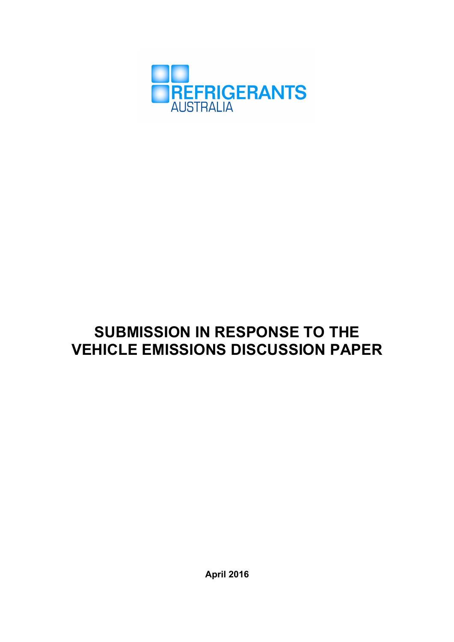

# **SUBMISSION IN RESPONSE TO THE VEHICLE EMISSIONS DISCUSSION PAPER**

**April 2016**